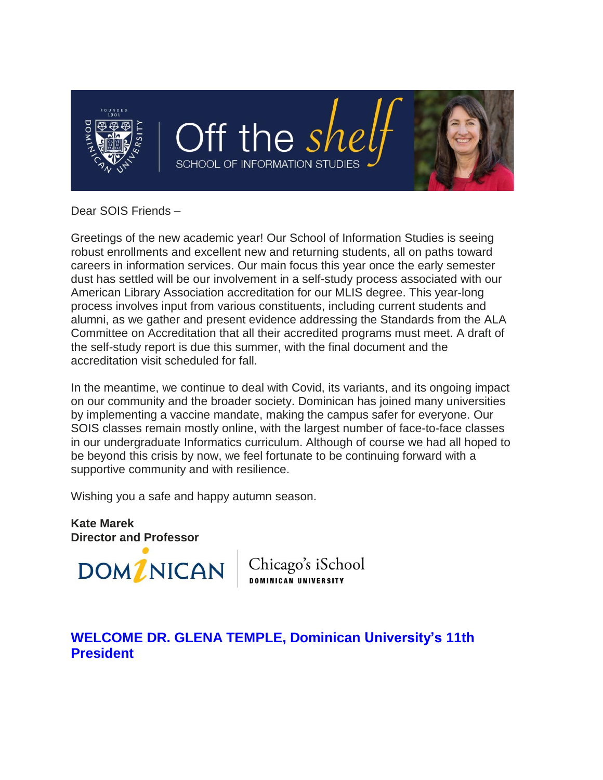

### Dear SOIS Friends –

Greetings of the new academic year! Our School of Information Studies is seeing robust enrollments and excellent new and returning students, all on paths toward careers in information services. Our main focus this year once the early semester dust has settled will be our involvement in a self-study process associated with our American Library Association accreditation for our MLIS degree. This year-long process involves input from various constituents, including current students and alumni, as we gather and present evidence addressing the Standards from the ALA Committee on Accreditation that all their accredited programs must meet. A draft of the self-study report is due this summer, with the final document and the accreditation visit scheduled for fall.

In the meantime, we continue to deal with Covid, its variants, and its ongoing impact on our community and the broader society. Dominican has joined many universities by implementing a vaccine mandate, making the campus safer for everyone. Our SOIS classes remain mostly online, with the largest number of face-to-face classes in our undergraduate Informatics curriculum. Although of course we had all hoped to be beyond this crisis by now, we feel fortunate to be continuing forward with a supportive community and with resilience.

Wishing you a safe and happy autumn season.

**Kate Marek Director and Professor**



Chicago's iSchool **DOMINICAN UNIVERSITY** 

### **WELCOME DR. GLENA TEMPLE, Dominican University's 11th President**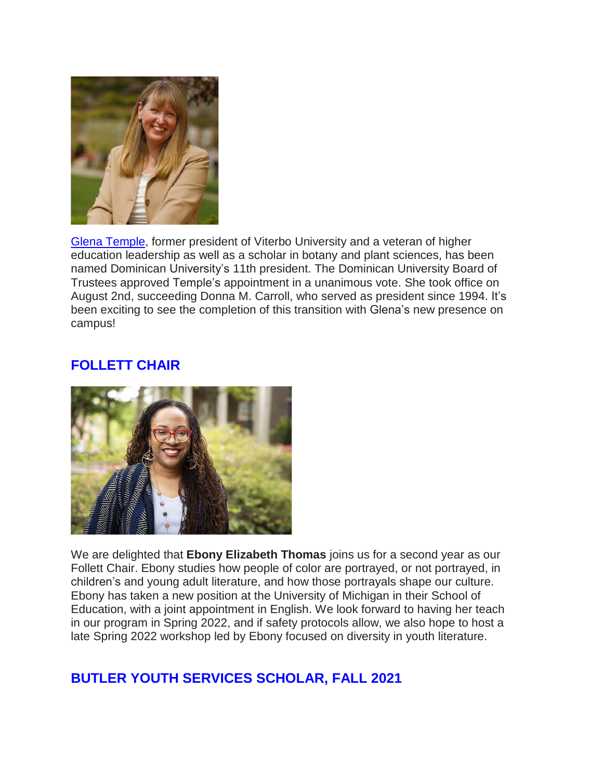

Glena [Temple,](https://connect.dom.edu/page.redir?target=http%3a%2f%2fwww.dom.edu%2fpresidential-transition&srcid=32340&srctid=1&erid=5946135&trid=d3d34d84-2843-4948-8d51-4d2dbea299df) former president of Viterbo University and a veteran of higher education leadership as well as a scholar in botany and plant sciences, has been named Dominican University's 11th president. The Dominican University Board of Trustees approved Temple's appointment in a unanimous vote. She took office on August 2nd, succeeding Donna M. Carroll, who served as president since 1994. It's been exciting to see the completion of this transition with Glena's new presence on campus!

### **FOLLETT CHAIR**



We are delighted that **Ebony Elizabeth Thomas** joins us for a second year as our Follett Chair. Ebony studies how people of color are portrayed, or not portrayed, in children's and young adult literature, and how those portrayals shape our culture. Ebony has taken a new position at the University of Michigan in their School of Education, with a joint appointment in English. We look forward to having her teach in our program in Spring 2022, and if safety protocols allow, we also hope to host a late Spring 2022 workshop led by Ebony focused on diversity in youth literature.

# **BUTLER YOUTH SERVICES SCHOLAR, FALL 2021**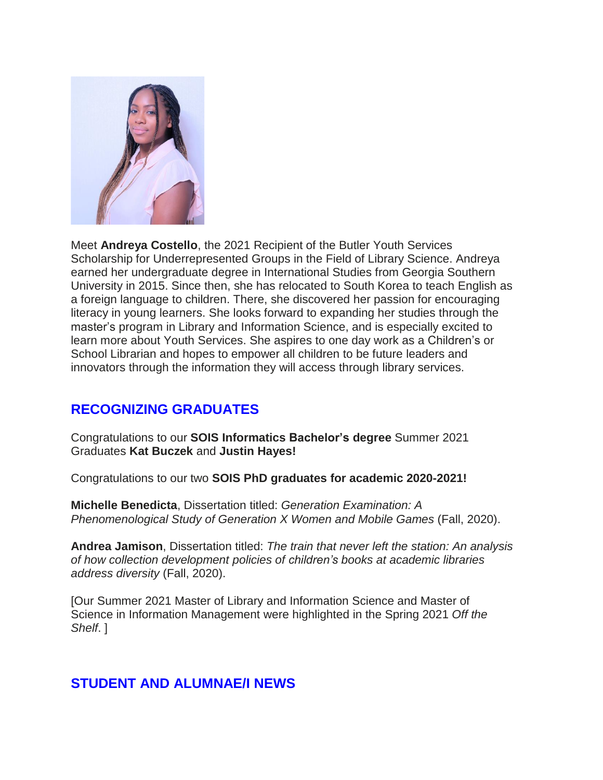

Meet **Andreya Costello**, the 2021 Recipient of the Butler Youth Services Scholarship for Underrepresented Groups in the Field of Library Science. Andreya earned her undergraduate degree in International Studies from Georgia Southern University in 2015. Since then, she has relocated to South Korea to teach English as a foreign language to children. There, she discovered her passion for encouraging literacy in young learners. She looks forward to expanding her studies through the master's program in Library and Information Science, and is especially excited to learn more about Youth Services. She aspires to one day work as a Children's or School Librarian and hopes to empower all children to be future leaders and innovators through the information they will access through library services.

# **RECOGNIZING GRADUATES**

Congratulations to our **SOIS Informatics Bachelor's degree** Summer 2021 Graduates **Kat Buczek** and **Justin Hayes!**

Congratulations to our two **SOIS PhD graduates for academic 2020-2021!**

**Michelle Benedicta**, Dissertation titled: *Generation Examination: A Phenomenological Study of Generation X Women and Mobile Games* (Fall, 2020).

**Andrea Jamison**, Dissertation titled: *The train that never left the station: An analysis of how collection development policies of children's books at academic libraries address diversity* (Fall, 2020).

[Our Summer 2021 Master of Library and Information Science and Master of Science in Information Management were highlighted in the Spring 2021 *Off the Shelf*. ]

### **STUDENT AND ALUMNAE/I NEWS**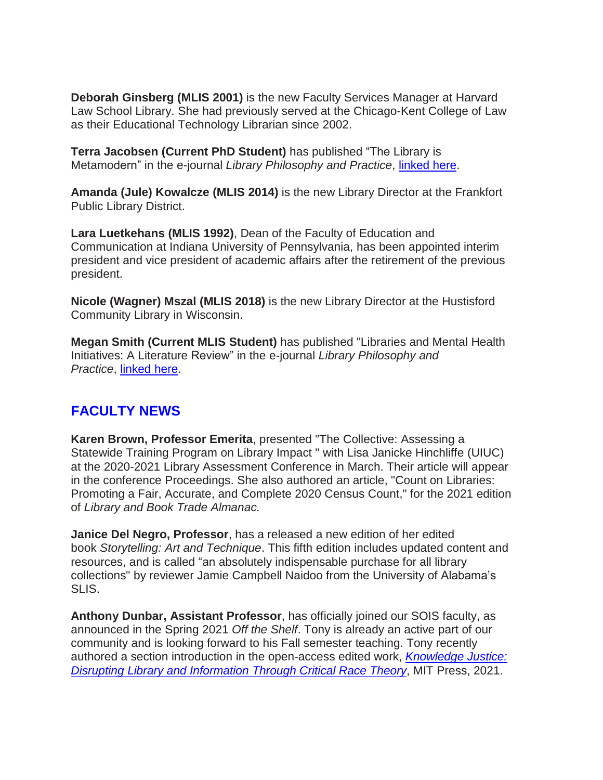**Deborah Ginsberg (MLIS 2001)** is the new Faculty Services Manager at Harvard Law School Library. She had previously served at the Chicago-Kent College of Law as their Educational Technology Librarian since 2002.

**Terra Jacobsen (Current PhD Student)** has published "The Library is Metamodern" in the e-journal *Library Philosophy and Practice*, [linked](https://connect.dom.edu/page.redir?target=http%3a%2f%2fdigitalcommons.unl.edu%2flibphilprac%2f5560%2f&srcid=32340&srctid=1&erid=5946135&trid=d3d34d84-2843-4948-8d51-4d2dbea299df) here.

**Amanda (Jule) Kowalcze (MLIS 2014)** is the new Library Director at the Frankfort Public Library District.

**Lara Luetkehans (MLIS 1992)**, Dean of the Faculty of Education and Communication at Indiana University of Pennsylvania, has been appointed interim president and vice president of academic affairs after the retirement of the previous president.

**Nicole (Wagner) Mszal (MLIS 2018)** is the new Library Director at the Hustisford Community Library in Wisconsin.

**Megan Smith (Current MLIS Student)** has published "Libraries and Mental Health Initiatives: A Literature Review" in the e-journal *Library Philosophy and Practice*, [linked](https://connect.dom.edu/page.redir?target=http%3a%2f%2fdigitalcommons.unl.edu%2flibphilprac%2f5663%2f&srcid=32340&srctid=1&erid=5946135&trid=d3d34d84-2843-4948-8d51-4d2dbea299df) here.

# **FACULTY NEWS**

**Karen Brown, Professor Emerita**, presented "The Collective: Assessing a Statewide Training Program on Library Impact " with Lisa Janicke Hinchliffe (UIUC) at the 2020-2021 Library Assessment Conference in March. Their article will appear in the conference Proceedings. She also authored an article, "Count on Libraries: Promoting a Fair, Accurate, and Complete 2020 Census Count," for the 2021 edition of *Library and Book Trade Almanac.*

**Janice Del Negro, Professor**, has a released a new edition of her edited book *Storytelling: Art and Technique*. This fifth edition includes updated content and resources, and is called "an absolutely indispensable purchase for all library collections" by reviewer Jamie Campbell Naidoo from the University of Alabama's SLIS.

**Anthony Dunbar, Assistant Professor**, has officially joined our SOIS faculty, as announced in the Spring 2021 *Off the Shelf*. Tony is already an active part of our community and is looking forward to his Fall semester teaching. Tony recently authored a section introduction in the open-access edited work, *[Knowledge](https://connect.dom.edu/page.redir?target=http%3a%2f%2fdirect.mit.edu%2fbooks%2fedited-volume%2f5114%2fKnowledge-JusticeDisrupting-Library-and&srcid=32340&srctid=1&erid=5946135&trid=d3d34d84-2843-4948-8d51-4d2dbea299df) Justice: Disrupting Library and [Information](https://connect.dom.edu/page.redir?target=http%3a%2f%2fdirect.mit.edu%2fbooks%2fedited-volume%2f5114%2fKnowledge-JusticeDisrupting-Library-and&srcid=32340&srctid=1&erid=5946135&trid=d3d34d84-2843-4948-8d51-4d2dbea299df) Through Critical Race Theory*, MIT Press, 2021.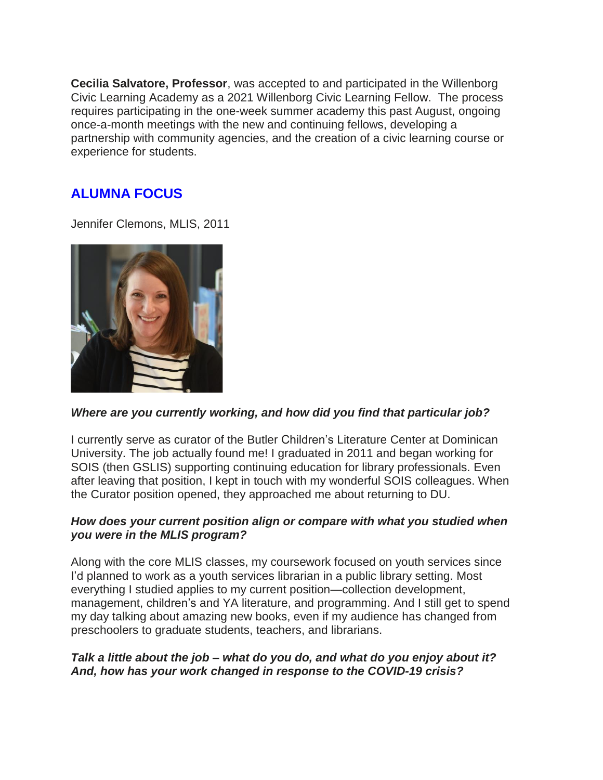**Cecilia Salvatore, Professor**, was accepted to and participated in the Willenborg Civic Learning Academy as a 2021 Willenborg Civic Learning Fellow. The process requires participating in the one-week summer academy this past August, ongoing once-a-month meetings with the new and continuing fellows, developing a partnership with community agencies, and the creation of a civic learning course or experience for students.

## **ALUMNA FOCUS**

Jennifer Clemons, MLIS, 2011



#### *Where are you currently working, and how did you find that particular job?*

I currently serve as curator of the Butler Children's Literature Center at Dominican University. The job actually found me! I graduated in 2011 and began working for SOIS (then GSLIS) supporting continuing education for library professionals. Even after leaving that position, I kept in touch with my wonderful SOIS colleagues. When the Curator position opened, they approached me about returning to DU.

### *How does your current position align or compare with what you studied when you were in the MLIS program?*

Along with the core MLIS classes, my coursework focused on youth services since I'd planned to work as a youth services librarian in a public library setting. Most everything I studied applies to my current position—collection development, management, children's and YA literature, and programming. And I still get to spend my day talking about amazing new books, even if my audience has changed from preschoolers to graduate students, teachers, and librarians.

### *Talk a little about the job – what do you do, and what do you enjoy about it? And, how has your work changed in response to the COVID-19 crisis?*